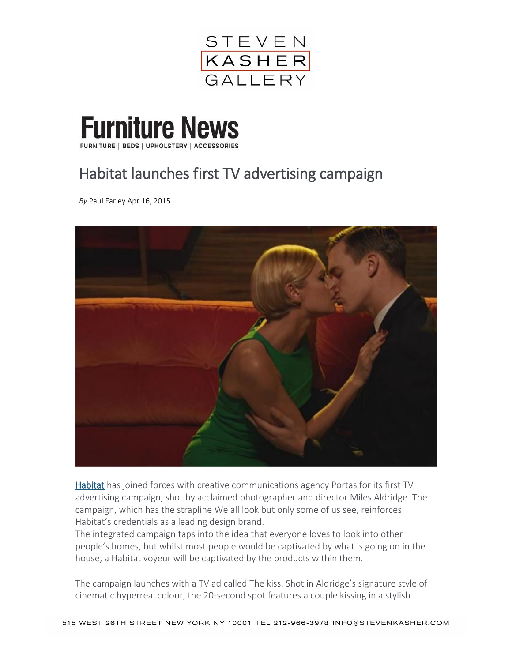

**Furniture News** FURNITURE | BEDS | UPHOLSTERY | ACCESSORIES

## Habitat launches first TV advertising campaign

*By* Paul Farley Apr 16, 2015



[Habitat](http://www.habitat.co.uk/) has joined forces with creative communications agency Portas for its first TV advertising campaign, shot by acclaimed photographer and director Miles Aldridge. The campaign, which has the strapline We all look but only some of us see, reinforces Habitat's credentials as a leading design brand.

The integrated campaign taps into the idea that everyone loves to look into other people's homes, but whilst most people would be captivated by what is going on in the house, a Habitat voyeur will be captivated by the products within them.

The campaign launches with a TV ad called The kiss. Shot in Aldridge's signature style of cinematic hyperreal colour, the 20-second spot features a couple kissing in a stylish